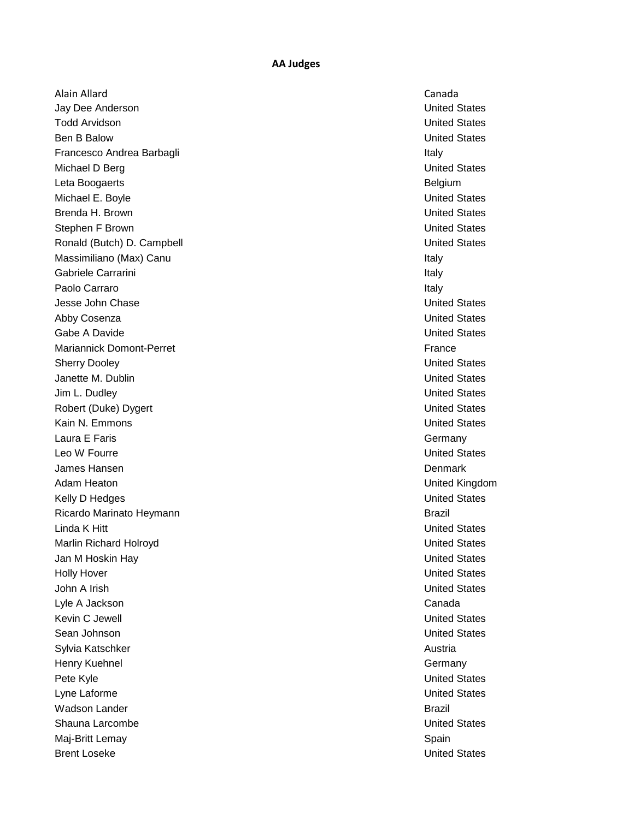Alain Allard Canada Jay Dee Anderson United States Todd Arvidson United States Ben B Balow United States Francesco Andrea Barbagli **Italy** Italy Michael D Berg United States Leta Boogaerts Belgium Michael E. Boyle United States Brenda H. Brown United States Stephen F Brown **United States** Ronald (Butch) D. Campbell **New York Construction Construction** United States Massimiliano (Max) Canu **Italy 1986** Massimiliano (Max) Canu Italy Italy 1986 Massimiliano (Max) Canu Italy 1986 Gabriele Carrarini **Italy** Paolo Carraro Italy and the contract of the contract of the contract of the contract of the contract of the contract of the contract of the contract of the contract of the contract of the contract of the contract of the co Jesse John Chase United States Abby Cosenza United States Gabe A Davide **Capacital States** Control of the United States Control of the United States Control of the United States Mariannick Domont-Perret France Sherry Dooley **Network Contract Contract Contract Contract Contract Contract Contract Contract Contract Contract Contract Contract Contract Contract Contract Contract Contract Contract Contract Contract Contract Contract C** Janette M. Dublin United States Jim L. Dudley **United States** Robert (Duke) Dygert **National States** Controller United States Kain N. Emmons United States Laura E Faris **Germany Leo W Fourre Contract Contract Contract Contract Contract Contract Contract Contract Contract Contract Contract Contract Contract Contract Contract Contract Contract Contract Contract Contract Contract Contract Contract C** James Hansen Denmark Adam Heaton United Kingdom Kelly D Hedges **No. 2008 CONSERVING STATES IN A SET OF A SET OF A SET OF A SET OF A SET OF A SET OF A SET OF A SET OF A SET OF A SET OF A SET OF A SET OF A SET OF A SET OF A SET OF A SET OF A SET OF A SET OF A SET OF A S** Ricardo Marinato Heymann Brazil and Brazil and Brazil and Brazil and Brazil and Brazil **Linda K Hitt** Controllering Controllering Controllering Controllering Controllering Controllering Controllering Controllering Controllering Controllering Controllering Controllering Controllering Controllering Controlleri Marlin Richard Holroyd **National States** United States Jan M Hoskin Hay United States Holly Hover **No. 2008 Holly Hover United States** John A Irish United States Lyle A Jackson Canada Kevin C Jewell **Contract Contract Contract Contract Contract Contract Contract Contract Contract Contract Contract Contract Contract Contract Contract Contract Contract Contract Contract Contract Contract Contract Contract** Sean Johnson United States Sylvia Katschker Austria Katschker Austria (\* 1918)<br>1980 - Austria Christian Austria (\* 1918) Henry Kuehnel Germany Pete Kyle United States Lyne Laforme United States Wadson Lander **Brazil** Shauna Larcombe **United States** Shauna Larcombe **United States** Maj-Britt Lemay Spain Brent Loseke **United States**